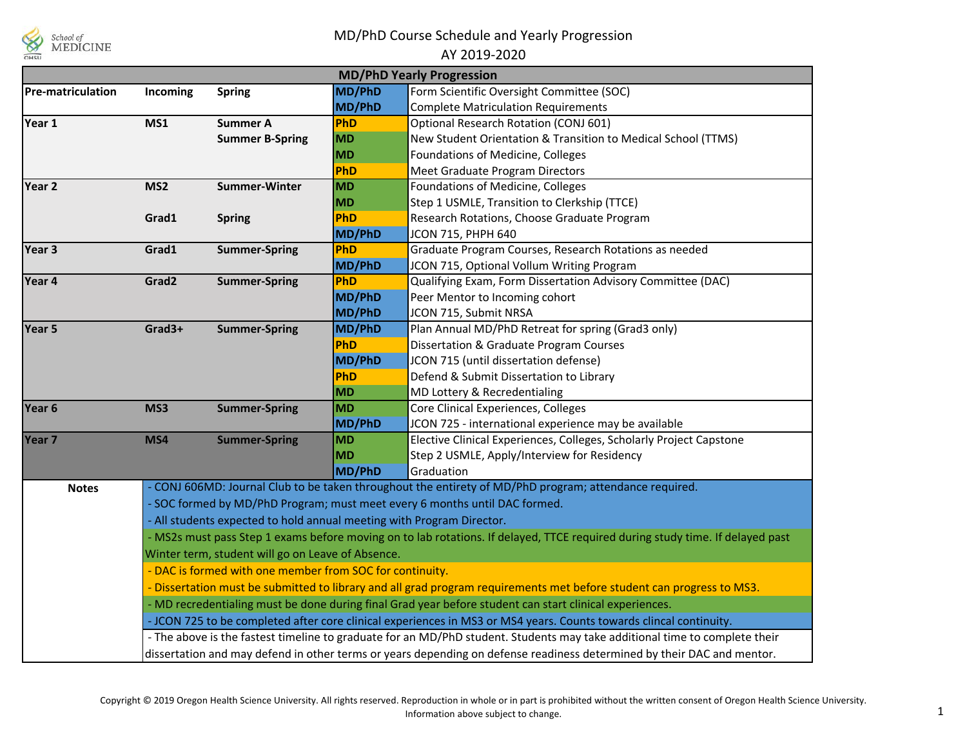

## MD/PhD Course Schedule and Yearly Progression

## AY 2019-2020

| <b>MD/PhD Yearly Progression</b>                                                                                       |                                                                                                                                                                                                                                                                                                                                                                                                                                                                                                                                                                                                                                                                                                                                                                                                                                                                  |                        |            |                                                                     |  |  |  |  |  |  |  |
|------------------------------------------------------------------------------------------------------------------------|------------------------------------------------------------------------------------------------------------------------------------------------------------------------------------------------------------------------------------------------------------------------------------------------------------------------------------------------------------------------------------------------------------------------------------------------------------------------------------------------------------------------------------------------------------------------------------------------------------------------------------------------------------------------------------------------------------------------------------------------------------------------------------------------------------------------------------------------------------------|------------------------|------------|---------------------------------------------------------------------|--|--|--|--|--|--|--|
| <b>Pre-matriculation</b>                                                                                               | Incoming                                                                                                                                                                                                                                                                                                                                                                                                                                                                                                                                                                                                                                                                                                                                                                                                                                                         | <b>Spring</b>          | MD/PhD     | Form Scientific Oversight Committee (SOC)                           |  |  |  |  |  |  |  |
|                                                                                                                        |                                                                                                                                                                                                                                                                                                                                                                                                                                                                                                                                                                                                                                                                                                                                                                                                                                                                  |                        | MD/PhD     | <b>Complete Matriculation Requirements</b>                          |  |  |  |  |  |  |  |
| Year 1                                                                                                                 | MS1                                                                                                                                                                                                                                                                                                                                                                                                                                                                                                                                                                                                                                                                                                                                                                                                                                                              | <b>Summer A</b>        | PhD        | Optional Research Rotation (CONJ 601)                               |  |  |  |  |  |  |  |
|                                                                                                                        |                                                                                                                                                                                                                                                                                                                                                                                                                                                                                                                                                                                                                                                                                                                                                                                                                                                                  | <b>Summer B-Spring</b> | <b>MD</b>  | New Student Orientation & Transition to Medical School (TTMS)       |  |  |  |  |  |  |  |
|                                                                                                                        |                                                                                                                                                                                                                                                                                                                                                                                                                                                                                                                                                                                                                                                                                                                                                                                                                                                                  |                        | <b>MD</b>  | Foundations of Medicine, Colleges                                   |  |  |  |  |  |  |  |
|                                                                                                                        |                                                                                                                                                                                                                                                                                                                                                                                                                                                                                                                                                                                                                                                                                                                                                                                                                                                                  |                        | PhD        | Meet Graduate Program Directors                                     |  |  |  |  |  |  |  |
| MS <sub>2</sub><br>Year 2                                                                                              |                                                                                                                                                                                                                                                                                                                                                                                                                                                                                                                                                                                                                                                                                                                                                                                                                                                                  | <b>Summer-Winter</b>   | <b>MD</b>  | Foundations of Medicine, Colleges                                   |  |  |  |  |  |  |  |
|                                                                                                                        |                                                                                                                                                                                                                                                                                                                                                                                                                                                                                                                                                                                                                                                                                                                                                                                                                                                                  |                        | <b>MD</b>  | Step 1 USMLE, Transition to Clerkship (TTCE)                        |  |  |  |  |  |  |  |
|                                                                                                                        | Grad1                                                                                                                                                                                                                                                                                                                                                                                                                                                                                                                                                                                                                                                                                                                                                                                                                                                            | <b>Spring</b>          | PhD        | Research Rotations, Choose Graduate Program                         |  |  |  |  |  |  |  |
|                                                                                                                        |                                                                                                                                                                                                                                                                                                                                                                                                                                                                                                                                                                                                                                                                                                                                                                                                                                                                  |                        | MD/PhD     | JCON 715, PHPH 640                                                  |  |  |  |  |  |  |  |
| Year 3                                                                                                                 | Grad1                                                                                                                                                                                                                                                                                                                                                                                                                                                                                                                                                                                                                                                                                                                                                                                                                                                            | <b>Summer-Spring</b>   | <b>PhD</b> | Graduate Program Courses, Research Rotations as needed              |  |  |  |  |  |  |  |
|                                                                                                                        |                                                                                                                                                                                                                                                                                                                                                                                                                                                                                                                                                                                                                                                                                                                                                                                                                                                                  |                        | MD/PhD     | JCON 715, Optional Vollum Writing Program                           |  |  |  |  |  |  |  |
| Year 4                                                                                                                 | Grad <sub>2</sub>                                                                                                                                                                                                                                                                                                                                                                                                                                                                                                                                                                                                                                                                                                                                                                                                                                                | <b>Summer-Spring</b>   | PhD        | Qualifying Exam, Form Dissertation Advisory Committee (DAC)         |  |  |  |  |  |  |  |
|                                                                                                                        |                                                                                                                                                                                                                                                                                                                                                                                                                                                                                                                                                                                                                                                                                                                                                                                                                                                                  |                        | MD/PhD     | Peer Mentor to Incoming cohort                                      |  |  |  |  |  |  |  |
|                                                                                                                        |                                                                                                                                                                                                                                                                                                                                                                                                                                                                                                                                                                                                                                                                                                                                                                                                                                                                  |                        | MD/PhD     | JCON 715, Submit NRSA                                               |  |  |  |  |  |  |  |
| Year 5                                                                                                                 | Grad3+                                                                                                                                                                                                                                                                                                                                                                                                                                                                                                                                                                                                                                                                                                                                                                                                                                                           | <b>Summer-Spring</b>   | MD/PhD     | Plan Annual MD/PhD Retreat for spring (Grad3 only)                  |  |  |  |  |  |  |  |
|                                                                                                                        |                                                                                                                                                                                                                                                                                                                                                                                                                                                                                                                                                                                                                                                                                                                                                                                                                                                                  |                        | PhD        | Dissertation & Graduate Program Courses                             |  |  |  |  |  |  |  |
|                                                                                                                        |                                                                                                                                                                                                                                                                                                                                                                                                                                                                                                                                                                                                                                                                                                                                                                                                                                                                  |                        | MD/PhD     | JCON 715 (until dissertation defense)                               |  |  |  |  |  |  |  |
|                                                                                                                        |                                                                                                                                                                                                                                                                                                                                                                                                                                                                                                                                                                                                                                                                                                                                                                                                                                                                  |                        | PhD        | Defend & Submit Dissertation to Library                             |  |  |  |  |  |  |  |
|                                                                                                                        |                                                                                                                                                                                                                                                                                                                                                                                                                                                                                                                                                                                                                                                                                                                                                                                                                                                                  |                        | <b>MD</b>  | MD Lottery & Recredentialing                                        |  |  |  |  |  |  |  |
| Year <sub>6</sub>                                                                                                      | MS3                                                                                                                                                                                                                                                                                                                                                                                                                                                                                                                                                                                                                                                                                                                                                                                                                                                              | <b>Summer-Spring</b>   | <b>MD</b>  | Core Clinical Experiences, Colleges                                 |  |  |  |  |  |  |  |
|                                                                                                                        |                                                                                                                                                                                                                                                                                                                                                                                                                                                                                                                                                                                                                                                                                                                                                                                                                                                                  |                        | MD/PhD     | JCON 725 - international experience may be available                |  |  |  |  |  |  |  |
| Year 7                                                                                                                 | MS4                                                                                                                                                                                                                                                                                                                                                                                                                                                                                                                                                                                                                                                                                                                                                                                                                                                              | <b>Summer-Spring</b>   | <b>MD</b>  | Elective Clinical Experiences, Colleges, Scholarly Project Capstone |  |  |  |  |  |  |  |
|                                                                                                                        |                                                                                                                                                                                                                                                                                                                                                                                                                                                                                                                                                                                                                                                                                                                                                                                                                                                                  |                        | <b>MD</b>  | Step 2 USMLE, Apply/Interview for Residency                         |  |  |  |  |  |  |  |
|                                                                                                                        |                                                                                                                                                                                                                                                                                                                                                                                                                                                                                                                                                                                                                                                                                                                                                                                                                                                                  |                        | MD/PhD     | Graduation                                                          |  |  |  |  |  |  |  |
| - CONJ 606MD: Journal Club to be taken throughout the entirety of MD/PhD program; attendance required.<br><b>Notes</b> |                                                                                                                                                                                                                                                                                                                                                                                                                                                                                                                                                                                                                                                                                                                                                                                                                                                                  |                        |            |                                                                     |  |  |  |  |  |  |  |
| - SOC formed by MD/PhD Program; must meet every 6 months until DAC formed.                                             |                                                                                                                                                                                                                                                                                                                                                                                                                                                                                                                                                                                                                                                                                                                                                                                                                                                                  |                        |            |                                                                     |  |  |  |  |  |  |  |
|                                                                                                                        | - All students expected to hold annual meeting with Program Director.                                                                                                                                                                                                                                                                                                                                                                                                                                                                                                                                                                                                                                                                                                                                                                                            |                        |            |                                                                     |  |  |  |  |  |  |  |
|                                                                                                                        | - MS2s must pass Step 1 exams before moving on to lab rotations. If delayed, TTCE required during study time. If delayed past<br>Winter term, student will go on Leave of Absence.<br>- DAC is formed with one member from SOC for continuity.<br>- Dissertation must be submitted to library and all grad program requirements met before student can progress to MS3.<br>- MD recredentialing must be done during final Grad year before student can start clinical experiences.<br>- JCON 725 to be completed after core clinical experiences in MS3 or MS4 years. Counts towards clincal continuity.<br>- The above is the fastest timeline to graduate for an MD/PhD student. Students may take additional time to complete their<br>dissertation and may defend in other terms or years depending on defense readiness determined by their DAC and mentor. |                        |            |                                                                     |  |  |  |  |  |  |  |
|                                                                                                                        |                                                                                                                                                                                                                                                                                                                                                                                                                                                                                                                                                                                                                                                                                                                                                                                                                                                                  |                        |            |                                                                     |  |  |  |  |  |  |  |
|                                                                                                                        |                                                                                                                                                                                                                                                                                                                                                                                                                                                                                                                                                                                                                                                                                                                                                                                                                                                                  |                        |            |                                                                     |  |  |  |  |  |  |  |
|                                                                                                                        |                                                                                                                                                                                                                                                                                                                                                                                                                                                                                                                                                                                                                                                                                                                                                                                                                                                                  |                        |            |                                                                     |  |  |  |  |  |  |  |
|                                                                                                                        |                                                                                                                                                                                                                                                                                                                                                                                                                                                                                                                                                                                                                                                                                                                                                                                                                                                                  |                        |            |                                                                     |  |  |  |  |  |  |  |
|                                                                                                                        |                                                                                                                                                                                                                                                                                                                                                                                                                                                                                                                                                                                                                                                                                                                                                                                                                                                                  |                        |            |                                                                     |  |  |  |  |  |  |  |
|                                                                                                                        |                                                                                                                                                                                                                                                                                                                                                                                                                                                                                                                                                                                                                                                                                                                                                                                                                                                                  |                        |            |                                                                     |  |  |  |  |  |  |  |
|                                                                                                                        |                                                                                                                                                                                                                                                                                                                                                                                                                                                                                                                                                                                                                                                                                                                                                                                                                                                                  |                        |            |                                                                     |  |  |  |  |  |  |  |